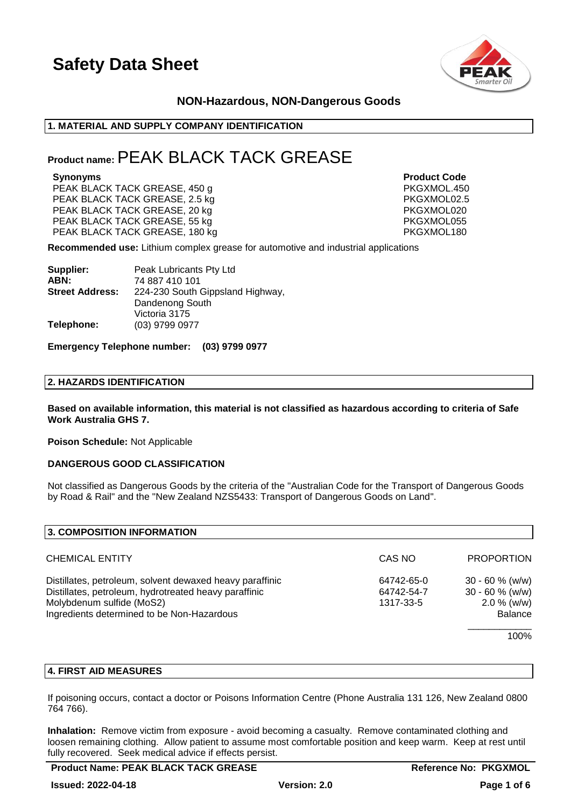

### **NON-Hazardous, NON-Dangerous Goods**

### **1. MATERIAL AND SUPPLY COMPANY IDENTIFICATION**

### **Product name:**PEAK BLACK TACK GREASE

PEAK BLACK TACK GREASE, 450 g PKGXMOL.450 PEAK BLACK TACK GREASE, 2.5 kg PEAK BLACK TACK GREASE, 20 kg PKGXMOL020 PEAK BLACK TACK GREASE, 55 kg PEAK BLACK TACK GREASE, 55 kg PKGXMOL055 PEAK BLACK TACK GREASE, 180 kg PEAK BLACK TACK GREASE, 180 kg

**Synonyms Product Code**

**Recommended use:** Lithium complex grease for automotive and industrial applications

| Supplier:              | Peak Lubricants Pty Ltd          |
|------------------------|----------------------------------|
| ABN:                   | 74 887 410 101                   |
| <b>Street Address:</b> | 224-230 South Gippsland Highway, |
|                        | Dandenong South                  |
|                        | Victoria 3175                    |
| Telephone:             | (03) 9799 0977                   |

### **Emergency Telephone number: (03) 9799 0977**

### **2. HAZARDS IDENTIFICATION**

**Based on available information, this material is not classified as hazardous according to criteria of Safe Work Australia GHS 7.**

**Poison Schedule:** Not Applicable

### **DANGEROUS GOOD CLASSIFICATION**

Not classified as Dangerous Goods by the criteria of the "Australian Code for the Transport of Dangerous Goods by Road & Rail" and the "New Zealand NZS5433: Transport of Dangerous Goods on Land".

| CAS NO                                | <b>PROPORTION</b>                                                          |
|---------------------------------------|----------------------------------------------------------------------------|
| 64742-65-0<br>64742-54-7<br>1317-33-5 | $30 - 60 %$ (w/w)<br>$30 - 60$ % (w/w)<br>$2.0 \%$ (w/w)<br><b>Balance</b> |
|                                       | 100%                                                                       |
|                                       |                                                                            |

### **4. FIRST AID MEASURES**

If poisoning occurs, contact a doctor or Poisons Information Centre (Phone Australia 131 126, New Zealand 0800 764 766).

**Inhalation:** Remove victim from exposure - avoid becoming a casualty. Remove contaminated clothing and loosen remaining clothing. Allow patient to assume most comfortable position and keep warm. Keep at rest until fully recovered. Seek medical advice if effects persist.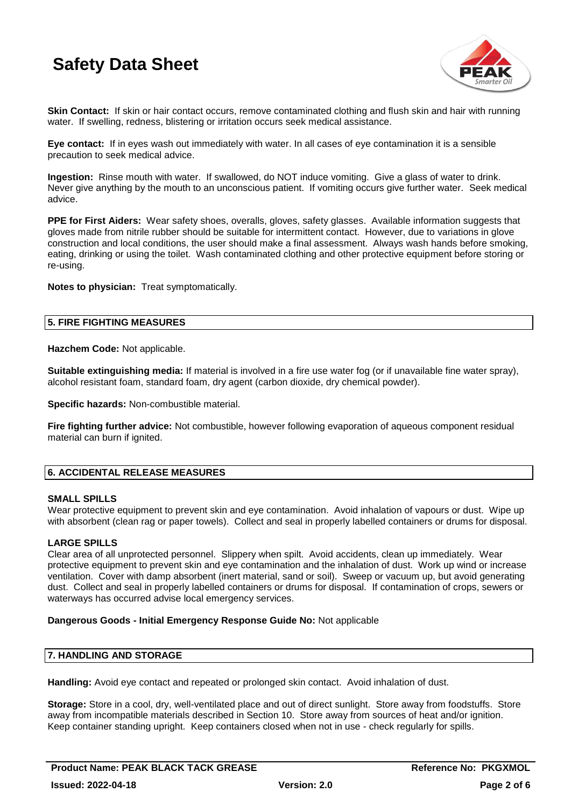

**Skin Contact:** If skin or hair contact occurs, remove contaminated clothing and flush skin and hair with running water. If swelling, redness, blistering or irritation occurs seek medical assistance.

**Eye contact:** If in eyes wash out immediately with water. In all cases of eye contamination it is a sensible precaution to seek medical advice.

**Ingestion:** Rinse mouth with water. If swallowed, do NOT induce vomiting. Give a glass of water to drink. Never give anything by the mouth to an unconscious patient. If vomiting occurs give further water. Seek medical advice.

**PPE for First Aiders:** Wear safety shoes, overalls, gloves, safety glasses. Available information suggests that gloves made from nitrile rubber should be suitable for intermittent contact. However, due to variations in glove construction and local conditions, the user should make a final assessment. Always wash hands before smoking, eating, drinking or using the toilet. Wash contaminated clothing and other protective equipment before storing or re-using.

**Notes to physician:** Treat symptomatically.

### **5. FIRE FIGHTING MEASURES**

**Hazchem Code:** Not applicable.

**Suitable extinguishing media:** If material is involved in a fire use water fog (or if unavailable fine water spray), alcohol resistant foam, standard foam, dry agent (carbon dioxide, dry chemical powder).

**Specific hazards:** Non-combustible material.

**Fire fighting further advice:** Not combustible, however following evaporation of aqueous component residual material can burn if ignited.

### **6. ACCIDENTAL RELEASE MEASURES**

### **SMALL SPILLS**

Wear protective equipment to prevent skin and eye contamination. Avoid inhalation of vapours or dust. Wipe up with absorbent (clean rag or paper towels). Collect and seal in properly labelled containers or drums for disposal.

### **LARGE SPILLS**

Clear area of all unprotected personnel. Slippery when spilt. Avoid accidents, clean up immediately. Wear protective equipment to prevent skin and eye contamination and the inhalation of dust. Work up wind or increase ventilation. Cover with damp absorbent (inert material, sand or soil). Sweep or vacuum up, but avoid generating dust. Collect and seal in properly labelled containers or drums for disposal. If contamination of crops, sewers or waterways has occurred advise local emergency services.

### **Dangerous Goods - Initial Emergency Response Guide No:** Not applicable

### **7. HANDLING AND STORAGE**

**Handling:** Avoid eye contact and repeated or prolonged skin contact. Avoid inhalation of dust.

**Storage:** Store in a cool, dry, well-ventilated place and out of direct sunlight. Store away from foodstuffs. Store away from incompatible materials described in Section 10. Store away from sources of heat and/or ignition. Keep container standing upright. Keep containers closed when not in use - check regularly for spills.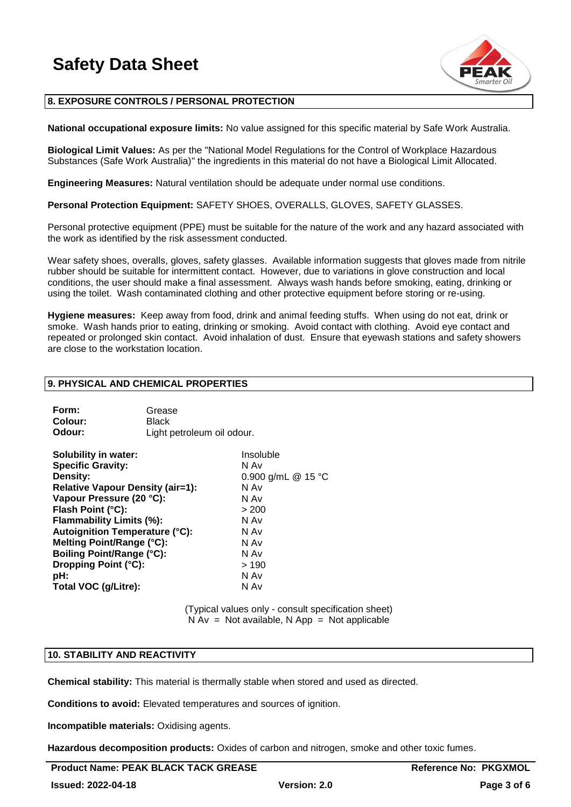

### **8. EXPOSURE CONTROLS / PERSONAL PROTECTION**

**National occupational exposure limits:** No value assigned for this specific material by Safe Work Australia.

**Biological Limit Values:** As per the "National Model Regulations for the Control of Workplace Hazardous Substances (Safe Work Australia)" the ingredients in this material do not have a Biological Limit Allocated.

**Engineering Measures:** Natural ventilation should be adequate under normal use conditions.

**Personal Protection Equipment:** SAFETY SHOES, OVERALLS, GLOVES, SAFETY GLASSES.

Personal protective equipment (PPE) must be suitable for the nature of the work and any hazard associated with the work as identified by the risk assessment conducted.

Wear safety shoes, overalls, gloves, safety glasses. Available information suggests that gloves made from nitrile rubber should be suitable for intermittent contact. However, due to variations in glove construction and local conditions, the user should make a final assessment. Always wash hands before smoking, eating, drinking or using the toilet. Wash contaminated clothing and other protective equipment before storing or re-using.

**Hygiene measures:** Keep away from food, drink and animal feeding stuffs. When using do not eat, drink or smoke. Wash hands prior to eating, drinking or smoking. Avoid contact with clothing. Avoid eye contact and repeated or prolonged skin contact. Avoid inhalation of dust. Ensure that eyewash stations and safety showers are close to the workstation location.

### **9. PHYSICAL AND CHEMICAL PROPERTIES**

| Form:   | Grease                     |
|---------|----------------------------|
| Colour: | <b>Black</b>               |
| Odour:  | Light petroleum oil odour. |

| <b>Solubility in water:</b>             | Insoluble          |
|-----------------------------------------|--------------------|
| <b>Specific Gravity:</b>                | N Av               |
| Density:                                | 0.900 g/mL @ 15 °C |
| <b>Relative Vapour Density (air=1):</b> | N Av               |
| Vapour Pressure (20 °C):                | N Av               |
| Flash Point (°C):                       | > 200              |
| Flammability Limits (%):                | N Av               |
| <b>Autoignition Temperature (°C):</b>   | N Av               |
| Melting Point/Range (°C):               | N Av               |
| <b>Boiling Point/Range (°C):</b>        | N Av               |
| Dropping Point (°C):                    | >190               |
| pH:                                     | N Av               |
| Total VOC (g/Litre):                    | N Av               |
|                                         |                    |

(Typical values only - consult specification sheet)  $N Av = Not available, N App = Not applicable$ 

### **10. STABILITY AND REACTIVITY**

**Chemical stability:** This material is thermally stable when stored and used as directed.

**Conditions to avoid:** Elevated temperatures and sources of ignition.

**Incompatible materials:** Oxidising agents.

**Hazardous decomposition products:** Oxides of carbon and nitrogen, smoke and other toxic fumes.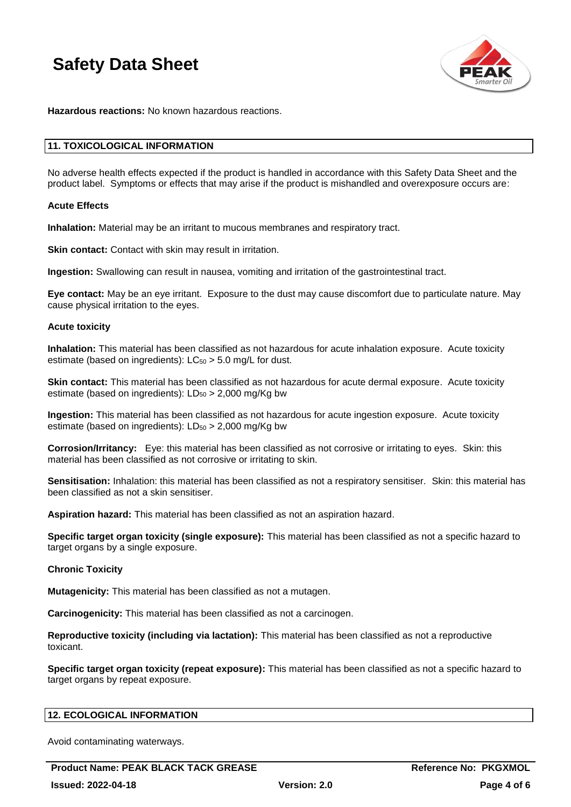

**Hazardous reactions:** No known hazardous reactions.

### **11. TOXICOLOGICAL INFORMATION**

No adverse health effects expected if the product is handled in accordance with this Safety Data Sheet and the product label. Symptoms or effects that may arise if the product is mishandled and overexposure occurs are:

### **Acute Effects**

**Inhalation:** Material may be an irritant to mucous membranes and respiratory tract.

**Skin contact:** Contact with skin may result in irritation.

**Ingestion:** Swallowing can result in nausea, vomiting and irritation of the gastrointestinal tract.

**Eye contact:** May be an eye irritant. Exposure to the dust may cause discomfort due to particulate nature. May cause physical irritation to the eyes.

### **Acute toxicity**

**Inhalation:** This material has been classified as not hazardous for acute inhalation exposure. Acute toxicity estimate (based on ingredients):  $LC_{50} > 5.0$  mg/L for dust.

**Skin contact:** This material has been classified as not hazardous for acute dermal exposure. Acute toxicity estimate (based on ingredients):  $LD_{50} > 2,000$  mg/Kg bw

**Ingestion:** This material has been classified as not hazardous for acute ingestion exposure. Acute toxicity estimate (based on ingredients):  $LD_{50} > 2,000$  mg/Kg bw

**Corrosion/Irritancy:** Eye: this material has been classified as not corrosive or irritating to eyes. Skin: this material has been classified as not corrosive or irritating to skin.

**Sensitisation:** Inhalation: this material has been classified as not a respiratory sensitiser. Skin: this material has been classified as not a skin sensitiser.

**Aspiration hazard:** This material has been classified as not an aspiration hazard.

**Specific target organ toxicity (single exposure):** This material has been classified as not a specific hazard to target organs by a single exposure.

### **Chronic Toxicity**

**Mutagenicity:** This material has been classified as not a mutagen.

**Carcinogenicity:** This material has been classified as not a carcinogen.

**Reproductive toxicity (including via lactation):** This material has been classified as not a reproductive toxicant.

**Specific target organ toxicity (repeat exposure):** This material has been classified as not a specific hazard to target organs by repeat exposure.

### **12. ECOLOGICAL INFORMATION**

Avoid contaminating waterways.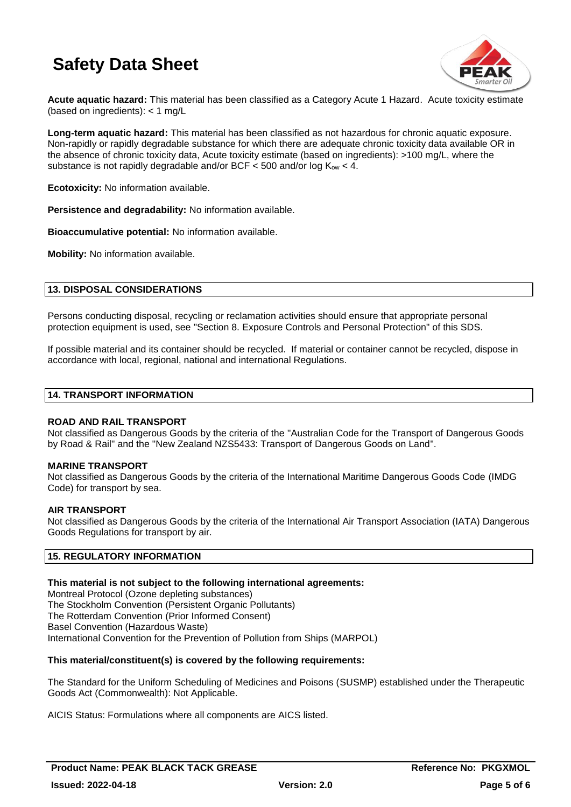

**Acute aquatic hazard:** This material has been classified as a Category Acute 1 Hazard. Acute toxicity estimate (based on ingredients): < 1 mg/L

**Long-term aquatic hazard:** This material has been classified as not hazardous for chronic aquatic exposure. Non-rapidly or rapidly degradable substance for which there are adequate chronic toxicity data available OR in the absence of chronic toxicity data, Acute toxicity estimate (based on ingredients): >100 mg/L, where the substance is not rapidly degradable and/or BCF  $<$  500 and/or log  $K_{ow}$   $<$  4.

**Ecotoxicity:** No information available.

**Persistence and degradability:** No information available.

**Bioaccumulative potential:** No information available.

**Mobility:** No information available.

### **13. DISPOSAL CONSIDERATIONS**

Persons conducting disposal, recycling or reclamation activities should ensure that appropriate personal protection equipment is used, see "Section 8. Exposure Controls and Personal Protection" of this SDS.

If possible material and its container should be recycled. If material or container cannot be recycled, dispose in accordance with local, regional, national and international Regulations.

### **14. TRANSPORT INFORMATION**

### **ROAD AND RAIL TRANSPORT**

Not classified as Dangerous Goods by the criteria of the "Australian Code for the Transport of Dangerous Goods by Road & Rail" and the "New Zealand NZS5433: Transport of Dangerous Goods on Land".

### **MARINE TRANSPORT**

Not classified as Dangerous Goods by the criteria of the International Maritime Dangerous Goods Code (IMDG Code) for transport by sea.

### **AIR TRANSPORT**

Not classified as Dangerous Goods by the criteria of the International Air Transport Association (IATA) Dangerous Goods Regulations for transport by air.

### **15. REGULATORY INFORMATION**

### **This material is not subject to the following international agreements:**

Montreal Protocol (Ozone depleting substances) The Stockholm Convention (Persistent Organic Pollutants) The Rotterdam Convention (Prior Informed Consent) Basel Convention (Hazardous Waste) International Convention for the Prevention of Pollution from Ships (MARPOL)

### **This material/constituent(s) is covered by the following requirements:**

The Standard for the Uniform Scheduling of Medicines and Poisons (SUSMP) established under the Therapeutic Goods Act (Commonwealth): Not Applicable.

AICIS Status: Formulations where all components are AICS listed.